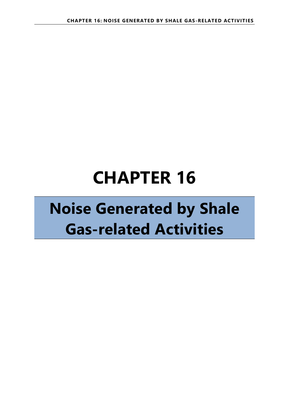# **CHAPTER 16**

## **Noise Generated by Shale Gas-related Activities**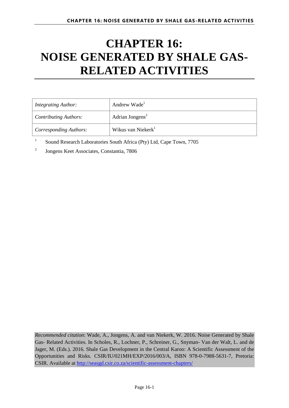## **CHAPTER 16: NOISE GENERATED BY SHALE GAS-RELATED ACTIVITIES**

| <i>Integrating Author:</i>    | Andrew Wade <sup>1</sup>       |
|-------------------------------|--------------------------------|
| <b>Contributing Authors:</b>  | Adrian Jongens <sup>2</sup>    |
| <b>Corresponding Authors:</b> | Wikus van Niekerk <sup>1</sup> |

<sup>1</sup> Sound Research Laboratories South Africa (Pty) Ltd, Cape Town, 7705

2 Jongens Keet Associates, Constantia, 7806

*Recommended citation*: Wade, A., Jongens, A. and van Niekerk, W. 2016. Noise Generated by Shale Gas- Related Activities. In Scholes, R., Lochner, P., Schreiner, G., Snyman- Van der Walt, L. and de Jager, M. (Eds.). 2016. Shale Gas Development in the Central Karoo: A Scientific Assessment of the Opportunities and Risks. CSIR/IU/021MH/EXP/2016/003/A, ISBN 978-0-7988-5631-7, Pretoria: CSIR. Available at<http://seasgd.csir.co.za/scientific-assessment-chapters/>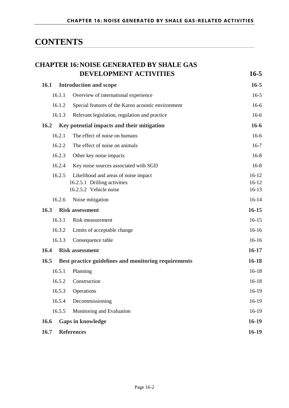## **CONTENTS**

|             | <b>CHAPTER 16: NOISE GENERATED BY SHALE GAS</b>        |                    |
|-------------|--------------------------------------------------------|--------------------|
|             | DEVELOPMENT ACTIVITIES                                 | $16 - 5$           |
| <b>16.1</b> | <b>Introduction and scope</b>                          | $16 - 5$           |
| 16.1.1      | Overview of international experience                   | $16-5$             |
| 16.1.2      | Special features of the Karoo acoustic environment     | $16-6$             |
| 16.1.3      | Relevant legislation, regulation and practice          | $16-6$             |
| 16.2        | Key potential impacts and their mitigation             | $16-6$             |
| 16.2.1      | The effect of noise on humans                          | $16-6$             |
| 16.2.2      | The effect of noise on animals                         | $16-7$             |
| 16.2.3      | Other key noise impacts                                | $16-8$             |
| 16.2.4      | Key noise sources associated with SGD                  | $16-8$             |
| 16.2.5      | Likelihood and areas of noise impact                   | $16-12$            |
|             | 16.2.5.1 Drilling activities<br>16.2.5.2 Vehicle noise | $16-12$<br>$16-13$ |
| 16.2.6      | Noise mitigation                                       | $16-14$            |
| 16.3        | <b>Risk assessment</b>                                 | $16 - 15$          |
| 16.3.1      | Risk measurement                                       | $16-15$            |
| 16.3.2      | Limits of acceptable change                            | $16-16$            |
| 16.3.3      | Consequence table                                      | $16-16$            |
| 16.4        | <b>Risk assessment</b>                                 | $16-17$            |
| 16.5        | Best practice guidelines and monitoring requirements   | $16-18$            |
| 16.5.1      | Planning                                               | $16-18$            |
| 16.5.2      | Construction                                           | 16-18              |
| 16.5.3      | Operations                                             | 16-19              |
| 16.5.4      | Decommissioning                                        | 16-19              |
| 16.5.5      | Monitoring and Evaluation                              | 16-19              |
| 16.6        | <b>Gaps in knowledge</b>                               | $16-19$            |
| 16.7        | <b>References</b>                                      | $16-19$            |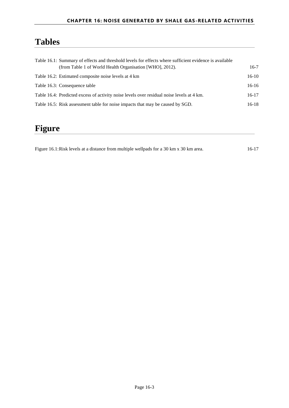## **Tables**

| Table 16.1: Summary of effects and threshold levels for effects where sufficient evidence is available |         |
|--------------------------------------------------------------------------------------------------------|---------|
| (from Table 1 of World Health Organisation [WHO], 2012).                                               | $16-7$  |
| Table 16.2: Estimated composite noise levels at 4 km                                                   | $16-10$ |
| Table 16.3: Consequence table                                                                          | $16-16$ |
| Table 16.4: Predicted excess of activity noise levels over residual noise levels at 4 km.              | $16-17$ |
| Table 16.5: Risk assessment table for noise impacts that may be caused by SGD.                         | $16-18$ |

### **Figure**

[Figure 16.1:Risk levels at a distance from multiple wellpads for a 30 km x 30 km area.](#page-17-2) 16-17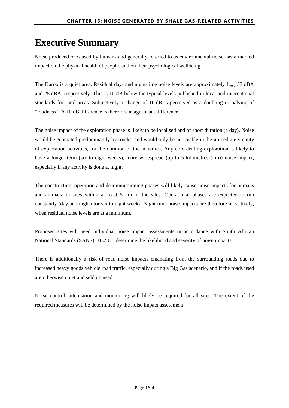## **Executive Summary**

Noise produced or caused by humans and generally referred to as environmental noise has a marked impact on the physical health of people, and on their psychological wellbeing.

The Karoo is a quiet area. Residual day- and night-time noise levels are approximately  $L_{Aeq}$  33 dBA and 25 dBA, respectively. This is 10 dB below the typical levels published in local and international standards for rural areas. Subjectively a change of 10 dB is perceived as a doubling or halving of "loudness". A 10 dB difference is therefore a significant difference.

The noise impact of the exploration phase is likely to be localised and of short duration (a day). Noise would be generated predominantly by trucks, and would only be noticeable in the immediate vicinity of exploration activities, for the duration of the activities. Any core drilling exploration is likely to have a longer-term (six to eight weeks), more widespread (up to 5 kilometres (km)) noise impact, especially if any activity is done at night.

The construction, operation and decommissioning phases will likely cause noise impacts for humans and animals on sites within at least 5 km of the sites. Operational phases are expected to run constantly (day and night) for six to eight weeks. Night time noise impacts are therefore most likely, when residual noise levels are at a minimum.

Proposed sites will need individual noise impact assessments in accordance with South African National Standards (SANS) 10328 to determine the likelihood and severity of noise impacts.

There is additionally a risk of road noise impacts emanating from the surrounding roads due to increased heavy goods vehicle road traffic, especially during a Big Gas scenario, and if the roads used are otherwise quiet and seldom used.

Noise control, attenuation and monitoring will likely be required for all sites. The extent of the required measures will be determined by the noise impact assessment.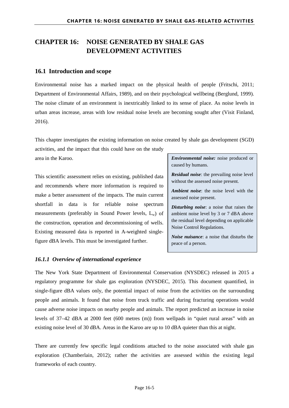#### <span id="page-5-0"></span>**CHAPTER 16: NOISE GENERATED BY SHALE GAS DEVELOPMENT ACTIVITIES**

#### <span id="page-5-1"></span>**16.1 Introduction and scope**

Environmental noise has a marked impact on the physical health of people (Fritschi, 2011; Department of Environmental Affairs, 1989), and on their psychological wellbeing (Berglund, 1999). The noise climate of an environment is inextricably linked to its sense of place. As noise levels in urban areas increase, areas with low residual noise levels are becoming sought after (Visit Finland, 2016).

This chapter investigates the existing information on noise created by shale gas development (SGD) activities, and the impact that this could have on the study

area in the Karoo.

This scientific assessment relies on existing, published data and recommends where more information is required to make a better assessment of the impacts. The main current shortfall in data is for reliable noise spectrum measurements (preferably in Sound Power levels,  $L_w$ ) of the construction, operation and decommissioning of wells. Existing measured data is reported in A-weighted singlefigure dBA levels. This must be investigated further.

#### <span id="page-5-2"></span>*16.1.1 Overview of international experience*

*Environmental noise:* noise produced or caused by humans.

*Residual noise*: the prevailing noise level without the assessed noise present.

*Ambient noise*: the noise level with the assessed noise present.

*Disturbing noise*: a noise that raises the ambient noise level by 3 or 7 dBA above the residual level depending on applicable Noise Control Regulations.

*Noise nuisance*: a noise that disturbs the peace of a person.

The New York State Department of Environmental Conservation (NYSDEC) released in 2015 a regulatory programme for shale gas exploration (NYSDEC, 2015). This document quantified, in single-figure dBA values only, the potential impact of noise from the activities on the surrounding people and animals. It found that noise from truck traffic and during fracturing operations would cause adverse noise impacts on nearby people and animals. The report predicted an increase in noise levels of 37–42 dBA at 2000 feet (600 metres (m)) from wellpads in "quiet rural areas" with an existing noise level of 30 dBA. Areas in the Karoo are up to 10 dBA quieter than this at night.

There are currently few specific legal conditions attached to the noise associated with shale gas exploration (Chamberlain, 2012); rather the activities are assessed within the existing legal frameworks of each country.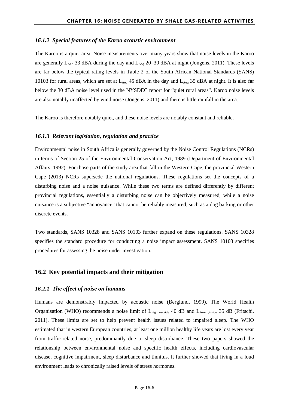#### <span id="page-6-0"></span>*16.1.2 Special features of the Karoo acoustic environment*

The Karoo is a quiet area. Noise measurements over many years show that noise levels in the Karoo are generally  $L_{Aeq}$  33 dBA during the day and  $L_{Aeq}$  20–30 dBA at night (Jongens, 2011). These levels are far below the typical rating levels in Table 2 of the South African National Standards (SANS) 10103 for rural areas, which are set at  $L_{Aeq}$  45 dBA in the day and  $L_{Aeq}$  35 dBA at night. It is also far below the 30 dBA noise level used in the NYSDEC report for "quiet rural areas". Karoo noise levels are also notably unaffected by wind noise (Jongens, 2011) and there is little rainfall in the area.

<span id="page-6-1"></span>The Karoo is therefore notably quiet, and these noise levels are notably constant and reliable.

#### *16.1.3 Relevant legislation, regulation and practice*

Environmental noise in South Africa is generally governed by the Noise Control Regulations (NCRs) in terms of Section 25 of the Environmental Conservation Act, 1989 (Department of Environmental Affairs, 1992). For those parts of the study area that fall in the Western Cape, the provincial Western Cape (2013) NCRs supersede the national regulations. These regulations set the concepts of a disturbing noise and a noise nuisance. While these two terms are defined differently by different provincial regulations, essentially a disturbing noise can be objectively measured, while a noise nuisance is a subjective "annoyance" that cannot be reliably measured, such as a dog barking or other discrete events.

Two standards, SANS 10328 and SANS 10103 further expand on these regulations. SANS 10328 specifies the standard procedure for conducting a noise impact assessment. SANS 10103 specifies procedures for assessing the noise under investigation.

#### <span id="page-6-2"></span>**16.2 Key potential impacts and their mitigation**

#### <span id="page-6-3"></span>*16.2.1 The effect of noise on humans*

Humans are demonstrably impacted by acoustic noise (Berglund, 1999). The World Health Organisation (WHO) recommends a noise limit of L<sub>night,outside</sub> 40 dB and L<sub>Amax,inside</sub> 35 dB (Fritschi, 2011). These limits are set to help prevent health issues related to impaired sleep. The WHO estimated that in western European countries, at least one million healthy life years are lost every year from traffic-related noise, predominantly due to sleep disturbance. These two papers showed the relationship between environmental noise and specific health effects, including cardiovascular disease, cognitive impairment, sleep disturbance and tinnitus. It further showed that living in a loud environment leads to chronically raised levels of stress hormones.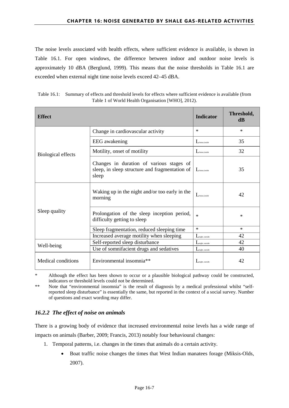The noise levels associated with health effects, where sufficient evidence is available, is shown in [Table 16.1.](#page-7-1) For open windows, the difference between indoor and outdoor noise levels is approximately 10 dBA (Berglund, 1999). This means that the noise thresholds in [Table 16.1](#page-7-1) are exceeded when external night time noise levels exceed 42–45 dBA.

<span id="page-7-1"></span>

| Table 16.1: Summary of effects and threshold levels for effects where sufficient evidence is available (from |
|--------------------------------------------------------------------------------------------------------------|
| Table 1 of World Health Organisation [WHO], 2012).                                                           |

| <b>Effect</b>                                  |                                                                                                     | <b>Indicator</b>         | Threshold,<br>dB |
|------------------------------------------------|-----------------------------------------------------------------------------------------------------|--------------------------|------------------|
|                                                | Change in cardiovascular activity                                                                   | ∗                        | $\ast$           |
|                                                | <b>EEG</b> awakening                                                                                | $L$ Amax, inside         | 35               |
| Biological effects                             | Motility, onset of motility                                                                         | A <sub>max, inside</sub> | 32               |
|                                                | Changes in duration of various stages of<br>sleep, in sleep structure and fragmentation of<br>sleep | $L$ Amax, inside         | 35               |
|                                                | Waking up in the night and/or too early in the<br>morning                                           | $\mathbf{L}$ Amax inside | 42               |
| Sleep quality                                  | Prolongation of the sleep inception period,<br>difficulty getting to sleep                          | $\ast$                   | $\ast$           |
|                                                | Sleep fragmentation, reduced sleeping time                                                          | $\ast$                   | $*$              |
|                                                | Increased average motility when sleeping                                                            | <i>I</i> might, outside  | 42               |
| Well-being                                     | Self-reported sleep disturbance                                                                     | <i>I</i> might, outside  | 42               |
|                                                | Use of somnifacient drugs and sedatives                                                             | might, outside           | 40               |
| Environmental insomnia**<br>Medical conditions |                                                                                                     | might, outside           | 42               |

Although the effect has been shown to occur or a plausible biological pathway could be constructed, indicators or threshold levels could not be determined.

\*\* Note that "environmental insomnia" is the result of diagnosis by a medical professional whilst "selfreported sleep disturbance" is essentially the same, but reported in the context of a social survey. Number of questions and exact wording may differ.

#### <span id="page-7-0"></span>*16.2.2 The effect of noise on animals*

There is a growing body of evidence that increased environmental noise levels has a wide range of impacts on animals (Barber, 2009; Francis, 2013) notably four behavioural changes:

- 1. Temporal patterns, i.e. changes in the times that animals do a certain activity.
	- Boat traffic noise changes the times that West Indian manatees forage (Miksis-Olds, 2007).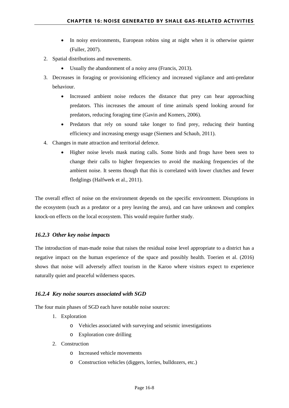- In noisy environments, European robins sing at night when it is otherwise quieter (Fuller, 2007).
- 2. Spatial distributions and movements.
	- Usually the abandonment of a noisy area (Francis, 2013).
- 3. Decreases in foraging or provisioning efficiency and increased vigilance and anti-predator behaviour.
	- Increased ambient noise reduces the distance that prey can hear approaching predators. This increases the amount of time animals spend looking around for predators, reducing foraging time (Gavin and Komers, 2006).
	- Predators that rely on sound take longer to find prey, reducing their hunting efficiency and increasing energy usage (Siemers and Schaub, 2011).
- 4. Changes in mate attraction and territorial defence.
	- Higher noise levels mask mating calls. Some birds and frogs have been seen to change their calls to higher frequencies to avoid the masking frequencies of the ambient noise. It seems though that this is correlated with lower clutches and fewer fledglings (Halfwerk et al., 2011).

The overall effect of noise on the environment depends on the specific environment. Disruptions in the ecosystem (such as a predator or a prey leaving the area), and can have unknown and complex knock-on effects on the local ecosystem. This would require further study.

#### <span id="page-8-0"></span>*16.2.3 Other key noise impacts*

The introduction of man-made noise that raises the residual noise level appropriate to a district has a negative impact on the human experience of the space and possibly health. Toerien et al. (2016) shows that noise will adversely affect tourism in the Karoo where visitors expect to experience naturally quiet and peaceful wilderness spaces.

#### <span id="page-8-1"></span>*16.2.4 Key noise sources associated with SGD*

The four main phases of SGD each have notable noise sources:

- 1. Exploration
	- o Vehicles associated with surveying and seismic investigations
	- o Exploration core drilling
- 2. Construction
	- o Increased vehicle movements
	- o Construction vehicles (diggers, lorries, bulldozers, etc.)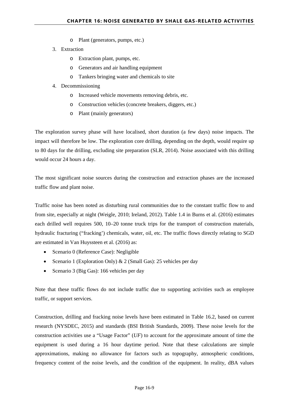- o Plant (generators, pumps, etc.)
- 3. Extraction
	- o Extraction plant, pumps, etc.
	- o Generators and air handling equipment
	- o Tankers bringing water and chemicals to site
- 4. Decommissioning
	- o Increased vehicle movements removing debris, etc.
	- o Construction vehicles (concrete breakers, diggers, etc.)
	- o Plant (mainly generators)

The exploration survey phase will have localised, short duration (a few days) noise impacts. The impact will therefore be low. The exploration core drilling, depending on the depth, would require up to 80 days for the drilling, excluding site preparation (SLR, 2014). Noise associated with this drilling would occur 24 hours a day.

The most significant noise sources during the construction and extraction phases are the increased traffic flow and plant noise.

Traffic noise has been noted as disturbing rural communities due to the constant traffic flow to and from site, especially at night (Weigle, 2010; Ireland, 2012). Table 1.4 in Burns et al. (2016) estimates each drilled well requires 500, 10–20 tonne truck trips for the transport of construction materials, hydraulic fracturing ("fracking') chemicals, water, oil, etc. The traffic flows directly relating to SGD are estimated in Van Huyssteen et al. (2016) as:

- Scenario 0 (Reference Case): Negligible
- Scenario 1 (Exploration Only)  $& 2$  (Small Gas): 25 vehicles per day
- Scenario 3 (Big Gas): 166 vehicles per day

Note that these traffic flows do not include traffic due to supporting activities such as employee traffic, or support services.

Construction, drilling and fracking noise levels have been estimated in [Table 16.2,](#page-10-0) based on current research (NYSDEC, 2015) and standards (BSI British Standards, 2009). These noise levels for the construction activities use a "Usage Factor" (*UF*) to account for the approximate amount of time the equipment is used during a 16 hour daytime period. Note that these calculations are simple approximations, making no allowance for factors such as topography, atmospheric conditions, frequency content of the noise levels, and the condition of the equipment. In reality, dBA values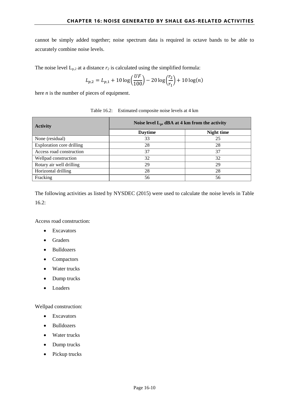cannot be simply added together; noise spectrum data is required in octave bands to be able to accurately combine noise levels.

The noise level  $L_{p,2}$  at a distance  $r_2$  is calculated using the simplified formula:

$$
L_{p,2} = L_{p,1} + 10 \log \left( \frac{UF}{100} \right) - 20 \log \left( \frac{r_2}{r_1} \right) + 10 \log(n)
$$

here *n* is the number of pieces of equipment.

<span id="page-10-0"></span>

| <b>Activity</b>                  | Noise level $L_p$ , dBA at 4 km from the activity |            |  |  |
|----------------------------------|---------------------------------------------------|------------|--|--|
|                                  | <b>Daytime</b>                                    | Night time |  |  |
| None (residual)                  | 33                                                | 25         |  |  |
| <b>Exploration core drilling</b> | 28                                                | 28         |  |  |
| Access road construction         | 37                                                | 37         |  |  |
| Wellpad construction             | 32                                                | 32         |  |  |
| Rotary air well drilling         | 29                                                | 29         |  |  |
| Horizontal drilling              | 28                                                | 28         |  |  |
| Fracking                         | 56                                                | 56         |  |  |

| Table 16.2: Estimated composite noise levels at 4 km |  |
|------------------------------------------------------|--|
|------------------------------------------------------|--|

The following activities as listed by NYSDEC (2015) were used to calculate the noise levels in [Table](#page-10-0)  [16.2:](#page-10-0)

Access road construction:

- Excavators
- Graders
- Bulldozers
- Compactors
- Water trucks
- Dump trucks
- Loaders

Wellpad construction:

- Excavators
- Bulldozers
- Water trucks
- Dump trucks
- Pickup trucks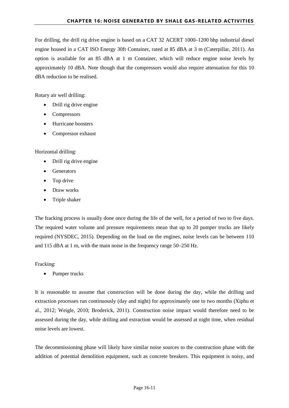For drilling, the drill rig drive engine is based on a CAT 32 ACERT 1000–1200 bhp industrial diesel engine housed in a CAT ISO Energy 30ft Container, rated at 85 dBA at 3 m (Caterpillar, 2011). An option is available for an 85 dBA at 1 m Container, which will reduce engine noise levels by approximately 10 dBA. Note though that the compressors would also require attenuation for this 10 dBA reduction to be realised.

Rotary air well drilling:

- Drill rig drive engine
- Compressors
- Hurricane boosters
- Compressor exhaust

Horizontal drilling:

- Drill rig drive engine
- Generators
- Top drive
- Draw works
- Triple shaker

The fracking process is usually done once during the life of the well, for a period of two to five days. The required water volume and pressure requirements mean that up to 20 pumper trucks are likely required (NYSDEC, 2015). Depending on the load on the engines, noise levels can be between 110 and 115 dBA at 1 m, with the main noise in the frequency range 50–250 Hz.

Fracking:

Pumper trucks

It is reasonable to assume that construction will be done during the day, while the drilling and extraction processes run continuously (day and night) for approximately one to two months (Xiphu et al., 2012; Weigle, 2010; Broderick, 2011). Construction noise impact would therefore need to be assessed during the day, while drilling and extraction would be assessed at night time, when residual noise levels are lowest.

The decommissioning phase will likely have similar noise sources to the construction phase with the addition of potential demolition equipment, such as concrete breakers. This equipment is noisy, and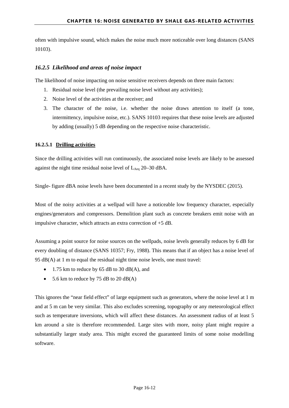often with impulsive sound, which makes the noise much more noticeable over long distances (SANS 10103).

#### <span id="page-12-0"></span>*16.2.5 Likelihood and areas of noise impact*

The likelihood of noise impacting on noise sensitive receivers depends on three main factors:

- 1. Residual noise level (the prevailing noise level without any activities);
- 2. Noise level of the activities at the receiver; and
- 3. The character of the noise, i.e. whether the noise draws attention to itself (a tone, intermittency, impulsive noise, etc.). SANS 10103 requires that these noise levels are adjusted by adding (usually) 5 dB depending on the respective noise characteristic.

#### <span id="page-12-1"></span>**16.2.5.1 Drilling activities**

Since the drilling activities will run continuously, the associated noise levels are likely to be assessed against the night time residual noise level of  $L_{Aeq}$  20–30 dBA.

Single- figure dBA noise levels have been documented in a recent study by the NYSDEC (2015).

Most of the noisy activities at a wellpad will have a noticeable low frequency character, especially engines/generators and compressors. Demolition plant such as concrete breakers emit noise with an impulsive character, which attracts an extra correction of +5 dB.

Assuming a point source for noise sources on the wellpads, noise levels generally reduces by 6 dB for every doubling of distance (SANS 10357; Fry, 1988). This means that if an object has a noise level of 95 dB(A) at 1 m to equal the residual night time noise levels, one must travel:

- 1.75 km to reduce by 65 dB to 30 dB(A), and
- 5.6 km to reduce by 75 dB to 20 dB(A)

This ignores the "near field effect" of large equipment such as generators, where the noise level at 1 m and at 5 m can be very similar. This also excludes screening, topography or any meteorological effect such as temperature inversions, which will affect these distances. An assessment radius of at least 5 km around a site is therefore recommended. Large sites with more, noisy plant might require a substantially larger study area. This might exceed the guaranteed limits of some noise modelling software.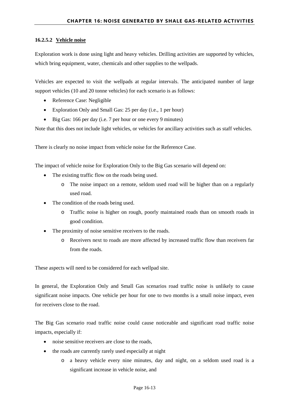#### <span id="page-13-0"></span>**16.2.5.2 Vehicle noise**

Exploration work is done using light and heavy vehicles. Drilling activities are supported by vehicles, which bring equipment, water, chemicals and other supplies to the wellpads.

Vehicles are expected to visit the wellpads at regular intervals. The anticipated number of large support vehicles (10 and 20 tonne vehicles) for each scenario is as follows:

- Reference Case: Negligible
- Exploration Only and Small Gas: 25 per day (i.e., 1 per hour)
- Big Gas: 166 per day (i.e. 7 per hour or one every 9 minutes)

Note that this does not include light vehicles, or vehicles for ancillary activities such as staff vehicles.

There is clearly no noise impact from vehicle noise for the Reference Case.

The impact of vehicle noise for Exploration Only to the Big Gas scenario will depend on:

- The existing traffic flow on the roads being used.
	- o The noise impact on a remote, seldom used road will be higher than on a regularly used road.
- The condition of the roads being used.
	- o Traffic noise is higher on rough, poorly maintained roads than on smooth roads in good condition.
- The proximity of noise sensitive receivers to the roads.
	- o Receivers next to roads are more affected by increased traffic flow than receivers far from the roads.

These aspects will need to be considered for each wellpad site.

In general, the Exploration Only and Small Gas scenarios road traffic noise is unlikely to cause significant noise impacts. One vehicle per hour for one to two months is a small noise impact, even for receivers close to the road.

The Big Gas scenario road traffic noise could cause noticeable and significant road traffic noise impacts, especially if:

- noise sensitive receivers are close to the roads,
- the roads are currently rarely used especially at night
	- o a heavy vehicle every nine minutes, day and night, on a seldom used road is a significant increase in vehicle noise, and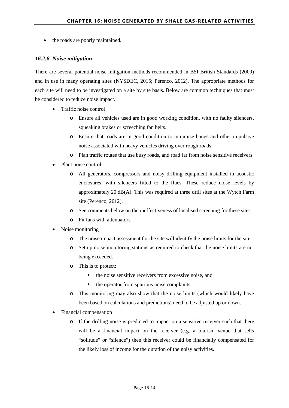• the roads are poorly maintained.

#### <span id="page-14-0"></span>*16.2.6 Noise mitigation*

There are several potential noise mitigation methods recommended in BSI British Standards (2009) and in use in many operating sites (NYSDEC, 2015; Perenco, 2012). The appropriate methods for each site will need to be investigated on a site by site basis. Below are common techniques that must be considered to reduce noise impact.

- Traffic noise control
	- o Ensure all vehicles used are in good working condition, with no faulty silencers, squeaking brakes or screeching fan belts.
	- o Ensure that roads are in good condition to minimise bangs and other impulsive noise associated with heavy vehicles driving over rough roads.
	- o Plan traffic routes that use busy roads, and road far from noise sensitive receivers.
- Plant noise control
	- o All generators, compressors and noisy drilling equipment installed in acoustic enclosures, with silencers fitted to the flues. These reduce noise levels by approximately 20 dB(A). This was required at three drill sites at the Wytch Farm site (Perenco, 2012).
	- o See comments below on the ineffectiveness of localised screening for these sites.
	- o Fit fans with attenuators.
- Noise monitoring
	- o The noise impact assessment for the site will identify the noise limits for the site.
	- o Set up noise monitoring stations as required to check that the noise limits are not being exceeded.
	- o This is to protect:
		- the noise sensitive receivers from excessive noise, and
		- the operator from spurious noise complaints.
	- o This monitoring may also show that the noise limits (which would likely have been based on calculations and predictions) need to be adjusted up or down.
- Financial compensation
	- o If the drilling noise is predicted to impact on a sensitive receiver such that there will be a financial impact on the receiver (e.g. a tourism venue that sells "solitude" or "silence") then this receiver could be financially compensated for the likely loss of income for the duration of the noisy activities.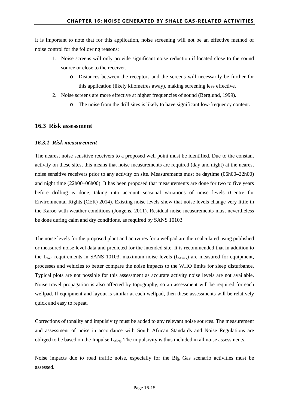It is important to note that for this application, noise screening will not be an effective method of noise control for the following reasons:

- 1. Noise screens will only provide significant noise reduction if located close to the sound source or close to the receiver.
	- o Distances between the receptors and the screens will necessarily be further for this application (likely kilometres away), making screening less effective.
- 2. Noise screens are more effective at higher frequencies of sound (Berglund, 1999).
	- o The noise from the drill sites is likely to have significant low-frequency content.

#### <span id="page-15-0"></span>**16.3 Risk assessment**

#### <span id="page-15-1"></span>*16.3.1 Risk measurement*

The nearest noise sensitive receivers to a proposed well point must be identified. Due to the constant activity on these sites, this means that noise measurements are required (day and night) at the nearest noise sensitive receivers prior to any activity on site. Measurements must be daytime (06h00–22h00) and night time (22h00–06h00). It has been proposed that measurements are done for two to five years before drilling is done, taking into account seasonal variations of noise levels (Centre for Environmental Rights (CER) 2014). Existing noise levels show that noise levels change very little in the Karoo with weather conditions (Jongens, 2011). Residual noise measurements must nevertheless be done during calm and dry conditions, as required by SANS 10103.

The noise levels for the proposed plant and activities for a wellpad are then calculated using published or measured noise level data and predicted for the intended site. It is recommended that in addition to the  $L_{\text{Aea}}$  requirements in SANS 10103, maximum noise levels ( $L_{\text{Amax}}$ ) are measured for equipment, processes and vehicles to better compare the noise impacts to the WHO limits for sleep disturbance. Typical plots are not possible for this assessment as accurate activity noise levels are not available. Noise travel propagation is also affected by topography, so an assessment will be required for each wellpad. If equipment and layout is similar at each wellpad, then these assessments will be relatively quick and easy to repeat.

Corrections of tonality and impulsivity must be added to any relevant noise sources. The measurement and assessment of noise in accordance with South African Standards and Noise Regulations are obliged to be based on the Impulse  $L_{A_1A_2}$ . The impulsivity is thus included in all noise assessments.

Noise impacts due to road traffic noise, especially for the Big Gas scenario activities must be assessed.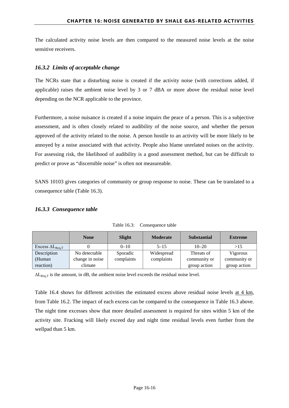The calculated activity noise levels are then compared to the measured noise levels at the noise sensitive receivers.

#### <span id="page-16-0"></span>*16.3.2 Limits of acceptable change*

The NCRs state that a disturbing noise is created if the activity noise (with corrections added, if applicable) raises the ambient noise level by 3 or 7 dBA or more above the residual noise level depending on the NCR applicable to the province.

Furthermore, a noise nuisance is created if a noise impairs the peace of a person. This is a subjective assessment, and is often closely related to audibility of the noise source, and whether the person approved of the activity related to the noise. A person hostile to an activity will be more likely to be annoyed by a noise associated with that activity. People also blame unrelated noises on the activity. For assessing risk, the likelihood of audibility is a good assessment method, but can be difficult to predict or prove as "discernible noise" is often not measureable.

SANS 10103 gives categories of community or group response to noise. These can be translated to a consequence table [\(Table 16.3\)](#page-16-2).

#### <span id="page-16-1"></span>*16.3.3 Consequence table*

<span id="page-16-2"></span>

|                                  | <b>None</b>     | Slight     | <b>Moderate</b> | <b>Substantial</b> | <b>Extreme</b> |
|----------------------------------|-----------------|------------|-----------------|--------------------|----------------|
| Excess $\Delta L_{\text{Req},T}$ |                 | $0 - 10$   | $5 - 15$        | $10 - 20$          | >15            |
| Description                      | No detectable   | Sporadic   | Widespread      | Threats of         | Vigorous       |
| (Human                           | change in noise | complaints | complaints      | community or       | community or   |
| reaction)                        | climate         |            |                 | group action       | group action   |

Table 16.3: Consequence table

 $\Delta L_{\text{Req T}}$  is the amount, in dB, the ambient noise level exceeds the residual noise level.

[Table 16.4](#page-17-1) shows for different activities the estimated excess above residual noise levels at 4 km, from [Table 16.2.](#page-10-0) The impact of each excess can be compared to the consequence in [Table 16.3](#page-16-2) above. The night time excesses show that more detailed assessment is required for sites within 5 km of the activity site. Fracking will likely exceed day and night time residual levels even further from the wellpad than 5 km.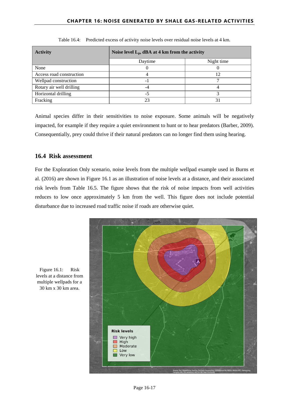<span id="page-17-1"></span>

| <b>Activity</b>          | Noise level $L_p$ , dBA at 4 km from the activity |    |  |  |
|--------------------------|---------------------------------------------------|----|--|--|
|                          | Night time<br>Daytime                             |    |  |  |
| None                     |                                                   |    |  |  |
| Access road construction |                                                   | 12 |  |  |
| Wellpad construction     | - 1                                               |    |  |  |
| Rotary air well drilling |                                                   |    |  |  |
| Horizontal drilling      | -5                                                |    |  |  |
| Fracking                 | 23                                                | 31 |  |  |

Table 16.4: Predicted excess of activity noise levels over residual noise levels at 4 km.

Animal species differ in their sensitivities to noise exposure. Some animals will be negatively impacted, for example if they require a quiet environment to hunt or to hear predators (Barber, 2009). Consequentially, prey could thrive if their natural predators can no longer find them using hearing.

#### <span id="page-17-0"></span>**16.4 Risk assessment**

For the Exploration Only scenario, noise levels from the multiple wellpad example used in Burns et al. (2016) are shown in [Figure 16.1](#page-17-2) as an illustration of noise levels at a distance, and their associated risk levels from [Table 16.5.](#page-18-3) The figure shows that the risk of noise impacts from well activities reduces to low once approximately 5 km from the well. This figure does not include potential disturbance due to increased road traffic noise if roads are otherwise quiet.



<span id="page-17-2"></span>Figure 16.1: Risk levels at a distance from multiple wellpads for a 30 km x 30 km area.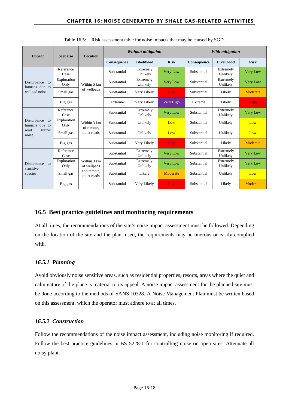<span id="page-18-3"></span>

| Impact                                                         | <b>Scenario</b>     | <b>Location</b>                          | Without mitigation |                       |                 | With mitigation |                       |                 |
|----------------------------------------------------------------|---------------------|------------------------------------------|--------------------|-----------------------|-----------------|-----------------|-----------------------|-----------------|
|                                                                |                     |                                          | Consequence        | Likelihood            | <b>Risk</b>     | Consequence     | <b>Likelihood</b>     | <b>Risk</b>     |
|                                                                | Reference<br>Case   |                                          | Substantial        | Extremely<br>Unlikely | <b>Very Low</b> | Substantial     | Extremely<br>Unlikely | <b>Very Low</b> |
| Disturbance<br>to<br>humans due to                             | Exploration<br>Only | Within 5 km                              | Substantial        | Extremely<br>Unlikely | Very Low        | Substantial     | Extremely<br>Unlikely | <b>Very Low</b> |
| wellpad noise                                                  | Small gas           | of wellpads                              | Substantial        | Very Likely           | High            | Substantial     | Likely                | Moderate        |
|                                                                | Big gas             |                                          | Extreme            | Very Likely           | Very High       | Extreme         | Likely                | <b>High</b>     |
| Disturbance<br>to<br>humans due to<br>traffic<br>road<br>noise | Reference<br>Case   | Within 3 km<br>of remote,<br>quiet roads | Substantial        | Extremely<br>Unlikely | Very Low        | Substantial     | Extremely<br>Unlikely | <b>Very Low</b> |
|                                                                | Exploration<br>Only |                                          | Substantial        | Unlikely              | Low             | Substantial     | Unlikely              | Low             |
|                                                                | Small gas           |                                          | Substantial        | Unlikely              | Low             | Substantial     | Unlikely              | Low             |
|                                                                | Big gas             |                                          | Substantial        | Very Likely           | High            | Substantial     | Likely                | Moderate        |
| Disturbance<br>to<br>sensitive<br>species                      | Reference<br>Case   | Within 3 km<br>of wellpads               | Substantial        | Extremely<br>Unlikely | Very Low        | Substantial     | Extremely<br>Unlikely | <b>Very Low</b> |
|                                                                | Exploration<br>Only |                                          | Substantial        | Extremely<br>Unlikely | <b>Very Low</b> | Substantial     | Extremely<br>Unlikely | <b>Very Low</b> |
|                                                                | Small gas           | and remote,<br>quiet roads               | Substantial        | Likely                | Moderate        | Substantial     | Unlikely              | Low             |
|                                                                | Big gas             |                                          | Substantial        | Very Likely           | High            | Substantial     | Likely                | Moderate        |

Table 16.5: Risk assessment table for noise impacts that may be caused by SGD.

#### <span id="page-18-0"></span>**16.5 Best practice guidelines and monitoring requirements**

At all times, the recommendations of the site's noise impact assessment must be followed. Depending on the location of the site and the plant used, the requirements may be onerous or easily complied with.

#### <span id="page-18-1"></span>*16.5.1 Planning*

Avoid obviously noise sensitive areas, such as residential properties, resorts, areas where the quiet and calm nature of the place is material to its appeal. A noise impact assessment for the planned site must be done according to the methods of SANS 10328. A Noise Management Plan must be written based on this assessment, which the operator must adhere to at all times.

#### <span id="page-18-2"></span>*16.5.2 Construction*

Follow the recommendations of the noise impact assessment, including noise monitoring if required. Follow the best practice guidelines in BS 5228-1 for controlling noise on open sites. Attenuate all noisy plant.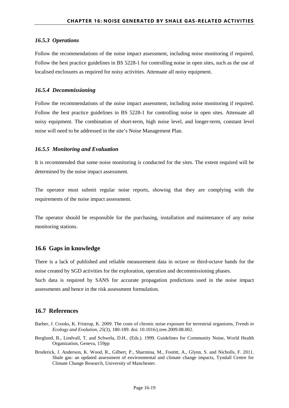#### <span id="page-19-0"></span>*16.5.3 Operations*

Follow the recommendations of the noise impact assessment, including noise monitoring if required. Follow the best practice guidelines in BS 5228-1 for controlling noise in open sites, such as the use of localised enclosures as required for noisy activities. Attenuate all noisy equipment.

#### <span id="page-19-1"></span>*16.5.4 Decommissioning*

Follow the recommendations of the noise impact assessment, including noise monitoring if required. Follow the best practice guidelines in BS 5228-1 for controlling noise in open sites. Attenuate all noisy equipment. The combination of short-term, high noise level, and longer-term, constant level noise will need to be addressed in the site's Noise Management Plan.

#### <span id="page-19-2"></span>*16.5.5 Monitoring and Evaluation*

It is recommended that some noise monitoring is conducted for the sites. The extent required will be determined by the noise impact assessment.

The operator must submit regular noise reports, showing that they are complying with the requirements of the noise impact assessment.

The operator should be responsible for the purchasing, installation and maintenance of any noise monitoring stations.

#### <span id="page-19-3"></span>**16.6 Gaps in knowledge**

There is a lack of published and reliable measurement data in octave or third-octave bands for the noise created by SGD activities for the exploration, operation and decommissioning phases.

Such data is required by SANS for accurate propagation predictions used in the noise impact assessments and hence in the risk assessment formulation.

#### <span id="page-19-4"></span>**16.7 References**

- Barber, J. Crooks, K. Fristrup, K. 2009. The costs of chronic noise exposure for terrestrial organisms, *Trends in Ecology and Evolution, 25*(3), 180-189. doi: 10.1016/j.tree.2009.08.002.
- Berglund, B., Lindvall, T. and Schwela, D.H.. (Eds.). 1999. Guidelines for Community Noise, World Health Organization, Geneva, 159pp
- Broderick, J. Anderson, K. Wood, R., Gilbert, P., Sharmina, M., Footitt, A., Glynn, S. and Nicholls, F. 2011. Shale gas: an updated assessment of environmental and climate change impacts, Tyndall Centre for Climate Change Research, University of Manchester.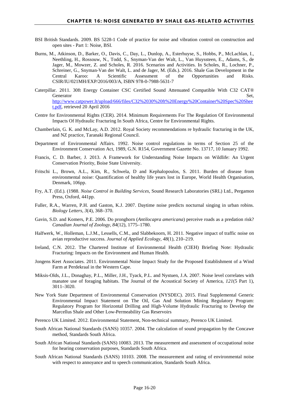- BSI British Standards. 2009. BS 5228-1 Code of practice for noise and vibration control on construction and open sites - Part 1: Noise, BSI.
- Burns, M., Atkinson, D., Barker, O., Davis, C., Day, L., Dunlop, A., Esterhuyse, S., Hobbs, P., McLachlan, I., Neethling, H., Rossouw, N., Todd, S., Snyman-Van der Walt, L., Van Huyssteen, E., Adams, S., de Jager, M., Mowzer, Z. and Scholes, R. 2016. Scenarios and Activities. In Scholes, R., Lochner, P., Schreiner, G., Snyman-Van der Walt, L. and de Jager, M. (Eds.). 2016. Shale Gas Development in the Central Karoo: A Scientific Assessment of the Opportunities and Risks. CSIR/IU/021MH/EXP/2016/003/A, ISBN 978-0-7988-5631-7
- Caterpillar. 2011. 30ft Energy Container CSC Certified Sound Attenuated Compatible With C32 CAT® Generator Set, [http://www.catpower.lt/upload/666/files/C32%2030%20ft%20Energy%20Container%20Spec%20Shee](http://www.catpower.lt/upload/666/files/C32%2030%20ft%20Energy%20Container%20Spec%20Sheet.pdf) [t.pdf,](http://www.catpower.lt/upload/666/files/C32%2030%20ft%20Energy%20Container%20Spec%20Sheet.pdf) retrieved 20 April 2016
- Centre for Environmental Rights (CER). 2014. Minimum Requirements For The Regulation Of Environmental Impacts Of Hydraulic Fracturing In South Africa, Centre for Environmental Rights.
- Chamberlain, G. K. and McLay, A.D. 2012. Royal Society recommendations re hydraulic fracturing in the UK, and NZ practice, Taranaki Regional Council.
- Department of Environmental Affairs. 1992. Noise control regulations in terms of Section 25 of the Environment Conservation Act, 1989, G.N. R154, Government Gazette No. 13717, 10 January 1992.
- Francis, C. D. Barber, J. 2013. A Framework for Understanding Noise Impacts on Wildlife: An Urgent Conservation Priority, Boise State University.
- Fritschi L., Brown, A.L., Kim, R., Schwela, D and Kephalopoulos, S. 2011. Burden of disease from environmental noise: Quantification of healthy life years lost in Europe, World Health Organisation, Denmark, 106pp.
- Fry, A.T. (Ed.). (1988. *Noise Control in Building Services*, Sound Research Laboratories (SRL) Ltd., Pergamon Press, Oxford, 441pp.
- Fuller, R.A., Warren, P.H. and Gaston, K.J. 2007. Daytime noise predicts nocturnal singing in urban robins. *Biology Letters, 3*(4), 368–370.
- Gavin, S.D. and Komers, P.E. 2006. Do pronghorn (*Antilocapra americana*) perceive roads as a predation risk? *Canadian Journal of Zoology, 84*(12), 1775–1780.
- Halfwerk, W., Holleman, L.J.M., Lessells, C.M., and Slabbekoorn, H. 2011. Negative impact of traffic noise on avian reproductive success. *Journal of Applied Ecology, 48*(1), 210–219.
- Ireland, C.N. 2012. The Chartered Institute of Environmental Health (CIEH) Briefing Note: Hydraulic Fracturing: Impacts on the Environment and Human Health.
- Jongens Keet Associates. 2011. Environmental Noise Impact Study for the Proposed Establishment of a Wind Farm at Perdekraal in the Western Cape.
- Miksis-Olds, J.L., Donaghay, P.L., Miller, J.H., Tyack, P.L. and Nystuen, J.A. 2007. Noise level correlates with manatee use of foraging habitats. The Journal of the Acoustical Society of America*, 121*(5 Part 1), 3011–3020.
- New York State Department of Environmental Conservation (NYSDEC). 2015. Final Supplemental Generic Environmental Impact Statement on The Oil, Gas And Solution Mining Regulatory Program: Regulatory Program for Horizontal Drilling and High-Volume Hydraulic Fracturing to Develop the Marcellus Shale and Other Low-Permeability Gas Reservoirs
- Perenco UK Limited. 2012. Environmental Statement, Non-technical summary, Perenco UK Limited.
- South African National Standards (SANS) 10357. 2004. The calculation of sound propagation by the Concawe method, Standards South Africa.
- South African National Standards (SANS) 10083. 2013. The measurement and assessment of occupational noise for hearing conservation purposes, Standards South Africa.
- South African National Standards (SANS) 10103. 2008. The measurement and rating of environmental noise with respect to annoyance and to speech communication, Standards South Africa.